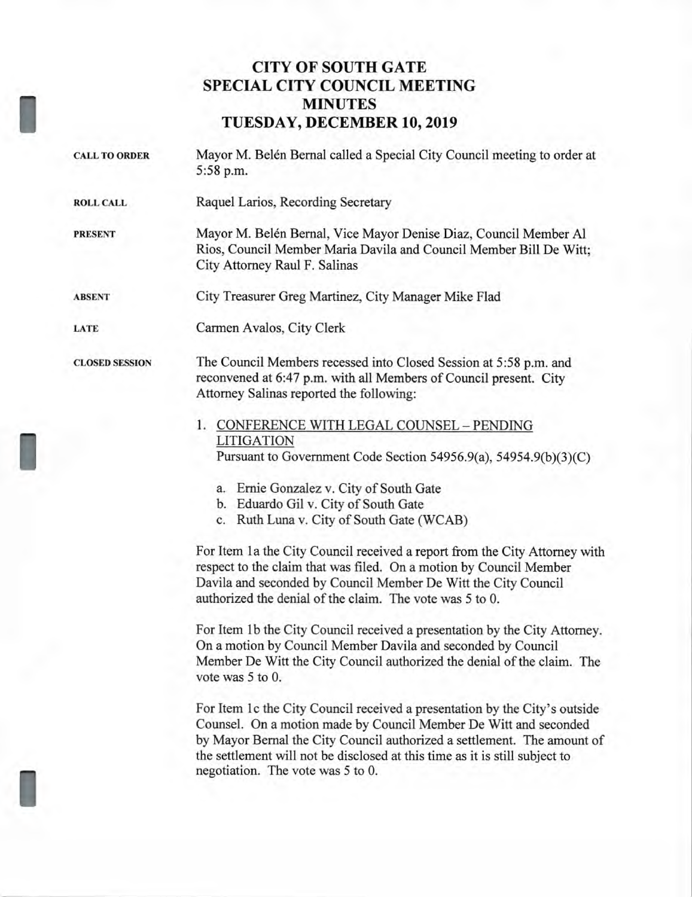# **CITY OF SOUTH GATE SPECIAL CITY COUNCIL MEETING MINUTES TUESDAY, DECEMBER 10, 2019**

- CALL TO ORDER Mayor M. Belén Bernal called a Special City Council meeting to order at 5:58 p.m.
- **ROLL CALL** Raquel Larios, Recording Secretary

I

I

I

**PRESENT** Mayor M. Belén Bernal, Vice Mayor Denise Diaz, Council Member Al Rios, Council Member Maria Davila and Council Member Bill De Witt; City Attorney Raul F. Salinas

**ABSENT** City Treasurer Greg Martinez, City Manager Mike Flad

**LATE** Carmen Avalos, City Clerk

**CLOSED SESSION** The Council Members recessed into Closed Session at 5:58 p.m. and reconvened at 6:47 p.m. with all Members of Council present. City Attorney Salinas reported the following:

- 1. CONFERENCE WITH LEGAL COUNSEL PENDING LITIGATION Pursuant to Government Code Section 54956.9(a), 54954.9(b)(3)(C)
	- a. Ernie Gonzalez v. City of South Gate
	- b. Eduardo Gil v. City of South Gate
	- c. Ruth Luna v. City of South Gate (WCAB)

For Item 1a the City Council received a report from the City Attorney with respect to the claim that was filed. On a motion by Council Member Davila and seconded by Council Member De Witt the City Council authorized the denial of the claim. The vote was 5 to 0.

For Item 1b the City Council received a presentation by the City Attorney. On a motion by Council Member Davila and seconded by Council Member De Witt the City Council authorized the denial of the claim. The vote was 5 to 0.

For Item 1c the City Council received a presentation by the City's outside Counsel. On a motion made by Council Member De Witt and seconded by Mayor Bernal the City Council authorized a settlement. The amount of the settlement will not be disclosed at this time as it is still subject to negotiation. The vote was 5 to 0.